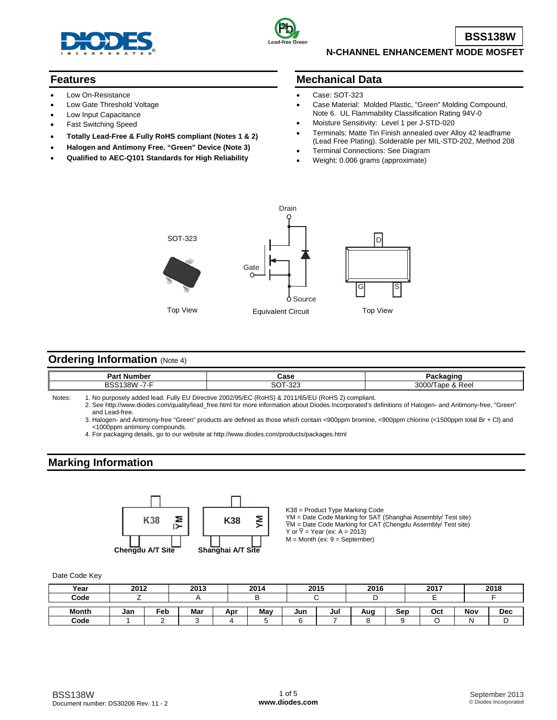



**BSS138W**

### **N-CHANNEL ENHANCEMENT MODE MOSFET**

## **Features**

- Low On-Resistance
- Low Gate Threshold Voltage
- Low Input Capacitance
- Fast Switching Speed
- **Totally Lead-Free & Fully RoHS compliant (Notes 1 & 2)**
- **Halogen and Antimony Free. "Green" Device (Note 3)**
- **Qualified to AEC-Q101 Standards for High Reliability**

### **Mechanical Data**

- Case: SOT-323
- Case Material: Molded Plastic, "Green" Molding Compound, Note 6. UL Flammability Classification Rating 94V-0
- Moisture Sensitivity: Level 1 per J-STD-020
- Terminals: Matte Tin Finish annealed over Alloy 42 leadframe (Lead Free Plating). Solderable per MIL-STD-202, Method 208
- Terminal Connections: See Diagram
- Weight: 0.006 grams (approximate)



## **Ordering Information (Note 4)**

| Dor'<br>. Number<br>-ar u                             | Case                     | $\sim$ $\sim$ $\sim$<br>aunaum        |
|-------------------------------------------------------|--------------------------|---------------------------------------|
| DO.<br>$\overline{\phantom{0}}$<br>.011<br>. .<br>. . | ~~<br>$\sim$<br>د∠ت<br>ں | 3000/<br>ലഹ'<br>lape &<br><b>Reel</b> |

Notes: 1. No purposely added lead. Fully EU Directive 2002/95/EC (RoHS) & 2011/65/EU (RoHS 2) compliant.

 2. See [http://www.diodes.com/quality/lead\\_free.html fo](http://www.diodes.com/quality/lead_free.html)r more information about Diodes Incorporated's definitions of Halogen- and Antimony-free, "Green" and Lead-free.

 3. Halogen- and Antimony-free "Green" products are defined as those which contain <900ppm bromine, <900ppm chlorine (<1500ppm total Br + Cl) and <1000ppm antimony compounds.

4. For packaging details, go to our website at <http://www.diodes.com/products/packages.html>

## **Marking Information**



K38 = Product Type Marking Code YM = Date Code Marking for SAT (Shanghai Assembly/ Test site)  $\overline{Y}M$  = Date Code Marking for CAT (Chengdu Assembly/ Test site) Y or  $\overline{Y}$  = Year (ex: A = 2013)  $M =$  Month (ex:  $9 =$  September)

Date Code Key

| Year         | 2012 |     | 2013 |     | 2014 |     | 2015 | 2016 |     | 2017 |     | 2018       |
|--------------|------|-----|------|-----|------|-----|------|------|-----|------|-----|------------|
| Code         |      |     |      |     |      |     |      |      |     |      |     |            |
| <b>Month</b> | Jan  | Feb | Mar  | Apr | May  | Jun | Jul  | Aug  | Sep | Oct  | Nov | <b>Dec</b> |
| Code         |      |     |      |     |      |     |      |      |     |      |     |            |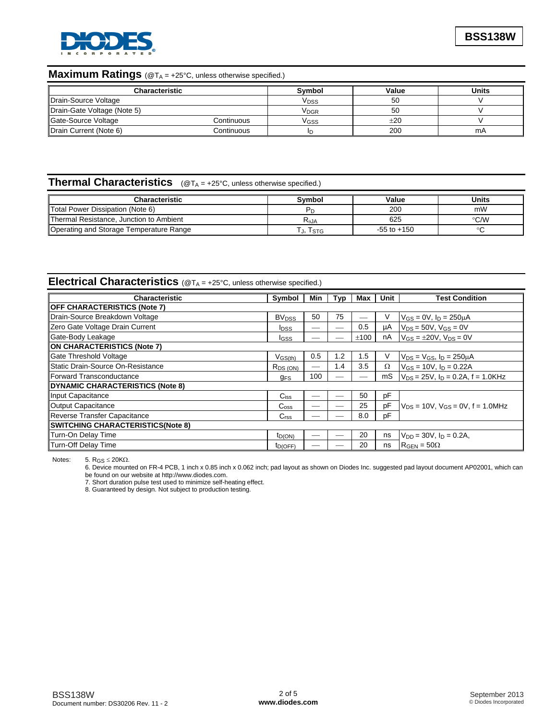

# **Maximum Ratings** (@TA = +25°C, unless otherwise specified.)

| <b>Characteristic</b>       | Svmbol     | Value                   | Units |    |
|-----------------------------|------------|-------------------------|-------|----|
| Drain-Source Voltage        |            | <b>V</b> <sub>DSS</sub> | 50    |    |
| Drain-Gate Voltage (Note 5) |            | <b>V<sub>DGR</sub></b>  | 50    |    |
| Gate-Source Voltage         | Continuous | Vgss                    | ±20   |    |
| Drain Current (Note 6)      | Continuous |                         | 200   | mA |

# **Thermal Characteristics** (@T<sub>A</sub> = +25°C, unless otherwise specified.)

| <b>Characteristic</b>                   | Svmbol     | Value           | Units         |
|-----------------------------------------|------------|-----------------|---------------|
| Total Power Dissipation (Note 6)        |            | 200             | mW            |
| Thermal Resistance, Junction to Ambient | $R_{0,JA}$ | 625             | $\degree$ C/W |
| Operating and Storage Temperature Range | I J, ISTG  | $-55$ to $+150$ |               |

# **Electrical Characteristics** (@T<sub>A</sub> = +25°C, unless otherwise specified.)

| <b>Characteristic</b>                    | Symbol                  | Min                      | Typ | Max  | Unit | <b>Test Condition</b>                     |  |
|------------------------------------------|-------------------------|--------------------------|-----|------|------|-------------------------------------------|--|
| <b>OFF CHARACTERISTICS (Note 7)</b>      |                         |                          |     |      |      |                                           |  |
| Drain-Source Breakdown Voltage           | <b>BV<sub>DSS</sub></b> | 50                       | 75  |      | V    | $V_{GS} = 0V$ , $I_D = 250 \mu A$         |  |
| Zero Gate Voltage Drain Current          | <b>I</b> <sub>DSS</sub> |                          |     | 0.5  | μA   | $V_{DS} = 50V$ , $V_{GS} = 0V$            |  |
| Gate-Body Leakage                        | <b>I</b> GSS            |                          |     | ±100 | nA   | $V_{GS} = \pm 20V$ , $V_{DS} = 0V$        |  |
| ON CHARACTERISTICS (Note 7)              |                         |                          |     |      |      |                                           |  |
| Gate Threshold Voltage                   | $V_{GS(th)}$            | 0.5                      | 1.2 | 1.5  | V    | $V_{DS} = V_{GS}$ , $I_D = 250 \mu A$     |  |
| Static Drain-Source On-Resistance        | R <sub>DS (ON)</sub>    | $\overline{\phantom{0}}$ | 1.4 | 3.5  | Ω    | $V_{GS} = 10V$ , $I_D = 0.22A$            |  |
| <b>IForward Transconductance</b>         | <b>GFS</b>              | 100                      |     |      | mS   | $V_{DS}$ = 25V, $I_D$ = 0.2A, f = 1.0KHz  |  |
| DYNAMIC CHARACTERISTICS (Note 8)         |                         |                          |     |      |      |                                           |  |
| Input Capacitance                        | $C$ <sub>iss</sub>      |                          |     | 50   | pF   |                                           |  |
| Output Capacitance                       | $C_{\rm oss}$           |                          |     | 25   | рF   | $V_{DS}$ = 10V, $V_{GS}$ = 0V, f = 1.0MHz |  |
| Reverse Transfer Capacitance             | C <sub>rss</sub>        |                          |     | 8.0  | pF   |                                           |  |
| <b>SWITCHING CHARACTERISTICS(Note 8)</b> |                         |                          |     |      |      |                                           |  |
| Turn-On Delay Time                       | $t_{D(ON)}$             |                          |     | 20   | ns   | $V_{DD} = 30V$ , $I_D = 0.2A$ ,           |  |
| Turn-Off Delay Time                      | $t_{D(OFF)}$            |                          |     | 20   | ns   | $R_{\text{GEN}} = 50\Omega$               |  |

Notes:  $5. R_{GS} \le 20 K\Omega$ .

6. Device mounted on FR-4 PCB, 1 inch x 0.85 inch x 0.062 inch; pad layout as shown on Diodes Inc. suggested pad layout document AP02001, which can be found on our website at [http://www.diodes.com.](http://www.diodes.com)

7. Short duration pulse test used to minimize self-heating effect.

8. Guaranteed by design. Not subject to production testing.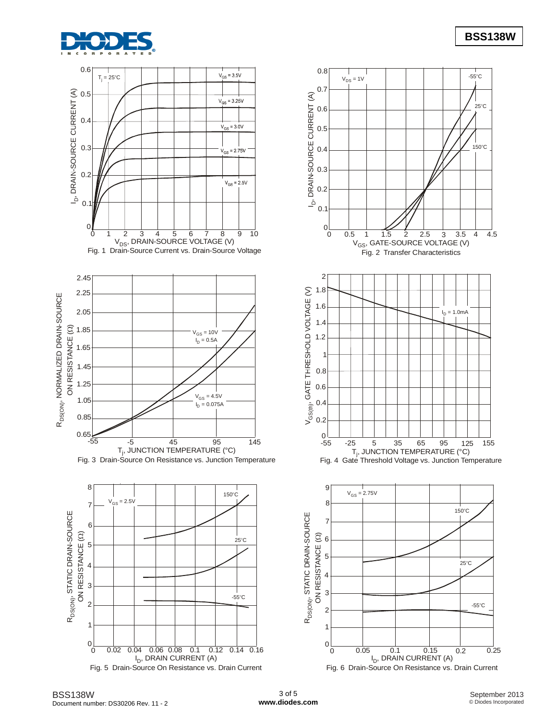









 $0\frac{1}{0}$ I<sub>D</sub>, DRAIN CURRENT (A) Fig. 6 Drain-Source On Resistance vs. Drain Current 0 0.05 0.1 0.15 0.2 0.25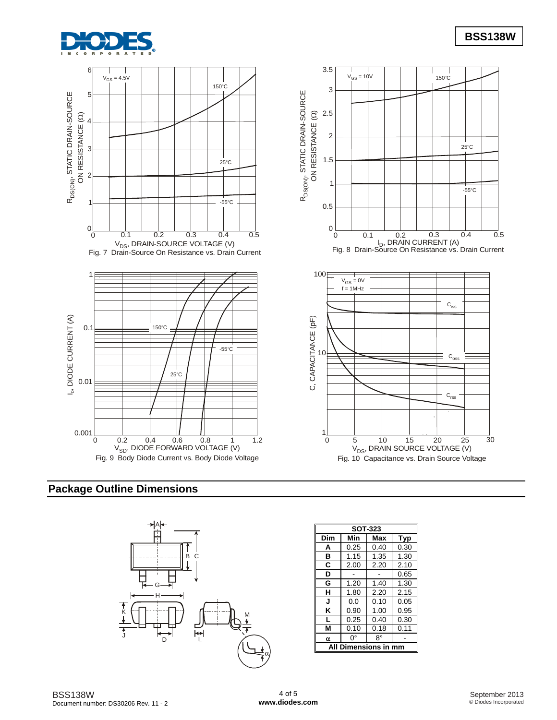



# **Package Outline Dimensions**



| <b>SOT-323</b>       |      |      |      |  |  |  |
|----------------------|------|------|------|--|--|--|
| Dim                  | Min  | Max  | Typ  |  |  |  |
| Α                    | 0.25 | 0.40 | 0.30 |  |  |  |
| в                    | 1.15 | 1.35 | 1.30 |  |  |  |
| C                    | 2.00 | 2.20 | 2.10 |  |  |  |
| D                    |      |      | 0.65 |  |  |  |
| G                    | 1.20 | 1.40 | 1.30 |  |  |  |
| н                    | 1.80 | 2.20 | 2.15 |  |  |  |
| J                    | 0.0  | 0.10 | 0.05 |  |  |  |
| κ                    | 0.90 | 1.00 | 0.95 |  |  |  |
| L                    | 0.25 | 0.40 | 0.30 |  |  |  |
| М                    | 0.10 | 0.18 | 0.11 |  |  |  |
| α                    | 0°   | R۰   |      |  |  |  |
| All Dimensions in mm |      |      |      |  |  |  |